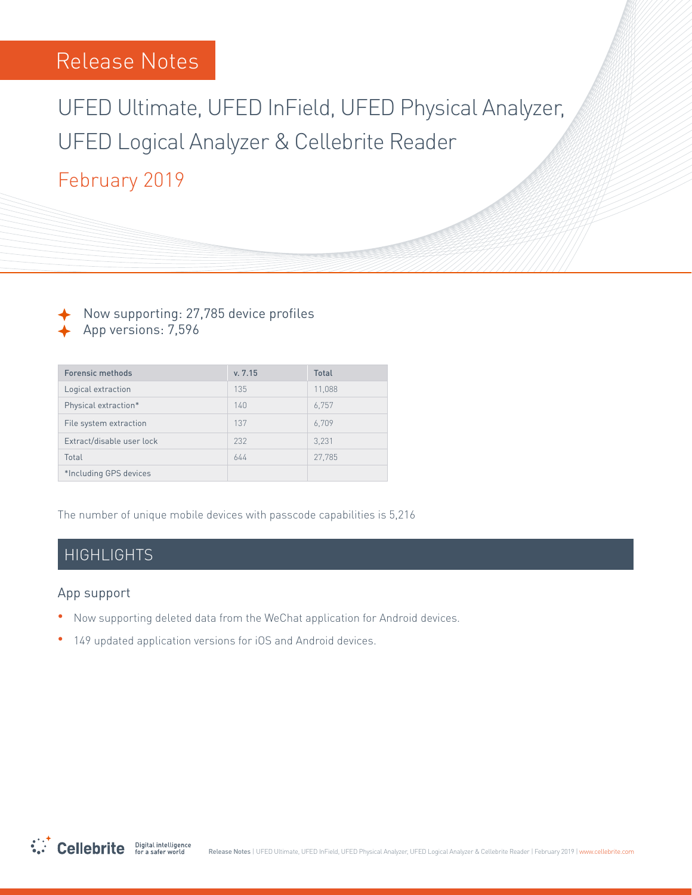# UFED Ultimate, UFED InField, UFED Physical Analyzer, UFED Logical Analyzer & Cellebrite Reader

## February 2019

Now supporting: 27,785 device profiles App versions: 7,596

| <b>Forensic methods</b>   | v. 7.15 | <b>Total</b> |
|---------------------------|---------|--------------|
| Logical extraction        | 135     | 11,088       |
| Physical extraction*      | 140     | 6.757        |
| File system extraction    | 137     | 6,709        |
| Extract/disable user lock | 232     | 3.231        |
| Total                     | 644     | 27.785       |
| *Including GPS devices    |         |              |

The number of unique mobile devices with passcode capabilities is 5,216

### HIGHLIGHTS

#### App support

- . Now supporting deleted data from the WeChat application for Android devices.
- 149 updated application versions for iOS and Android devices.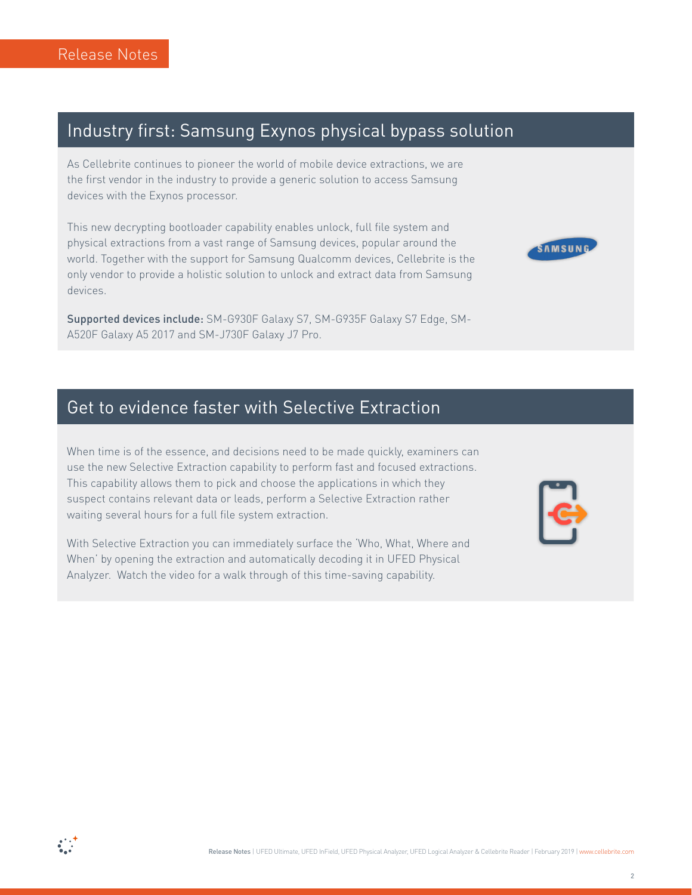### Industry first: Samsung Exynos physical bypass solution

As Cellebrite continues to pioneer the world of mobile device extractions, we are the first vendor in the industry to provide a generic solution to access Samsung devices with the Exynos processor.

This new decrypting bootloader capability enables unlock, full file system and physical extractions from a vast range of Samsung devices, popular around the world. Together with the support for Samsung Qualcomm devices, Cellebrite is the only vendor to provide a holistic solution to unlock and extract data from Samsung .devices

**Supported devices include:** SM-G930F Galaxy S7, SM-G935F Galaxy S7 Edge, SM-<br>A520F Galaxy A5 2017 and SM-J730F Galaxy J7 Pro.

### Get to evidence faster with Selective Extraction

When time is of the essence, and decisions need to be made quickly, examiners can use the new Selective Extraction capability to perform fast and focused extractions. This capability allows them to pick and choose the applications in which they suspect contains relevant data or leads, perform a Selective Extraction rather waiting several hours for a full file system extraction.

With Selective Extraction you can immediately surface the 'Who, What, Where and When' by opening the extraction and automatically decoding it in UFED Physical Analyzer. Watch the video for a walk through of this time-saving capability.



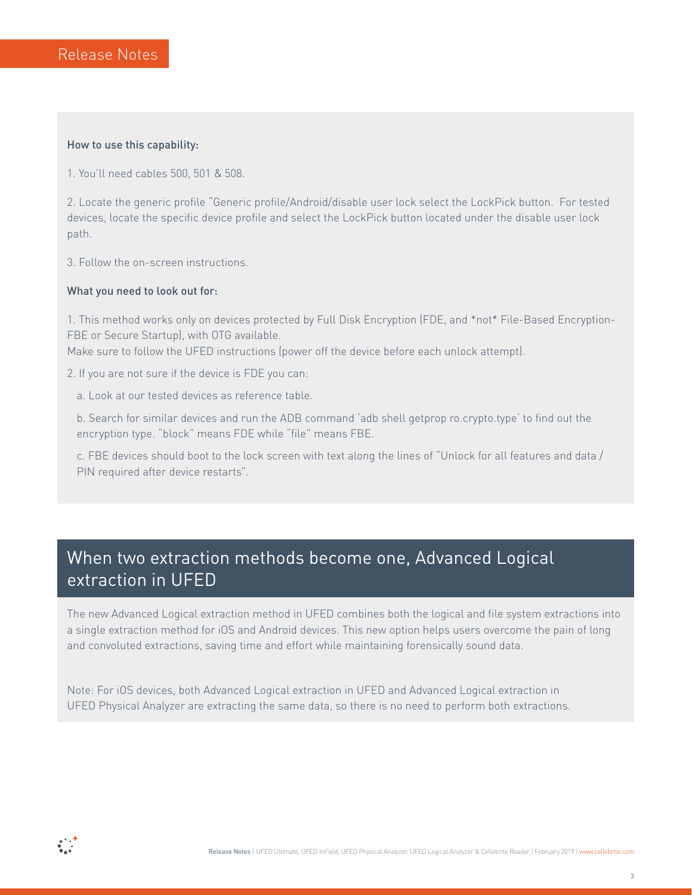#### How to use this capability:

1. You'll need cables 500, 501 & 508.

2. Locate the generic profile "Generic profile/Android/disable user lock select the LockPick button. For tested devices, locate the specific device profile and select the LockPick button located under the disable user lock path.

3. Follow the on-screen instructions.

#### What you need to look out for:

1. This method works only on devices protected by Full Disk Encryption (FDE, and \*not\* File-Based Encryption-<br>FBE or Secure Startup), with OTG available.

Make sure to follow the UFED instructions (power off the device before each unlock attempt).

2. If you are not sure if the device is FDE you can:

a. Look at our tested devices as reference table.

b. Search for similar devices and run the ADB command 'adb shell getprop ro.crypto.type' to find out the encryption type. "block" means FDE while "file" means FBE.

c. FBE devices should boot to the lock screen with text along the lines of "Unlock for all features and data / PIN required after device restarts".

### When two extraction methods become one, Advanced Logical extraction in UFED

The new Advanced Logical extraction method in UFED combines both the logical and file system extractions into a single extraction method for iOS and Android devices. This new option helps users overcome the pain of long and convoluted extractions, saving time and effort while maintaining forensically sound data.

Note: For iOS devices, both Advanced Logical extraction in UFED and Advanced Logical extraction in UFED Physical Analyzer are extracting the same data, so there is no need to perform both extractions.

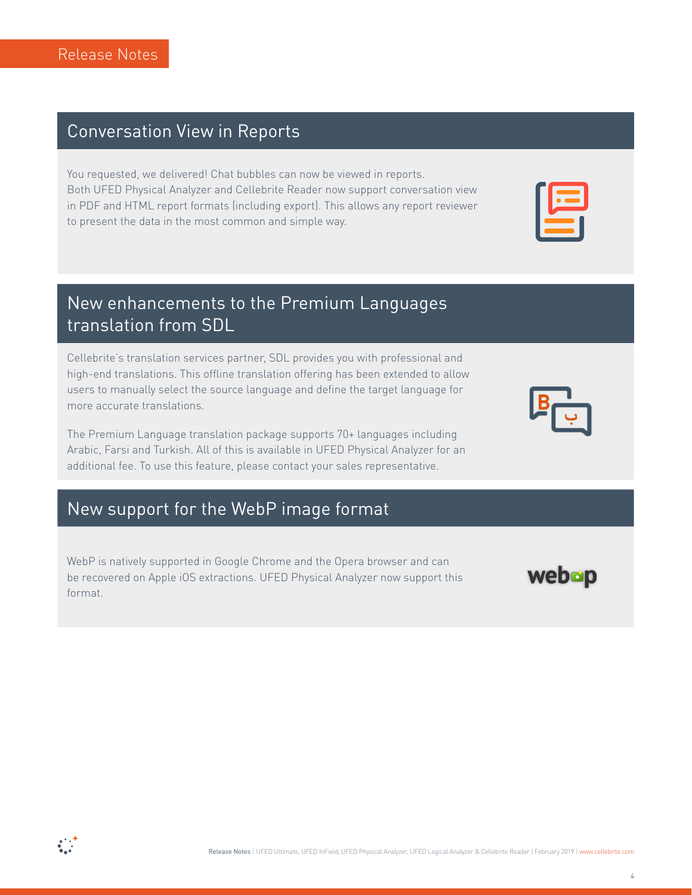### **Conversation View in Reports**

You requested, we delivered! Chat bubbles can now be viewed in reports. Both UFED Physical Analyzer and Cellebrite Reader now support conversation view in PDF and HTML report formats (including export). This allows any report reviewer to present the data in the most common and simple way.

### New enhancements to the Premium Languages translation from SDL

Cellebrite's translation services partner, SDL provides you with professional and high-end translations. This offline translation offering has been extended to allow users to manually select the source language and define the target language for more accurate translations.

The Premium Language translation package supports 70+ languages including Arabic, Farsi and Turkish. All of this is available in UFED Physical Analyzer for an additional fee. To use this feature, please contact your sales representative.

### New support for the WebP image format

WebP is natively supported in Google Chrome and the Opera browser and can be recovered on Apple iOS extractions. UFED Physical Analyzer now support this .format



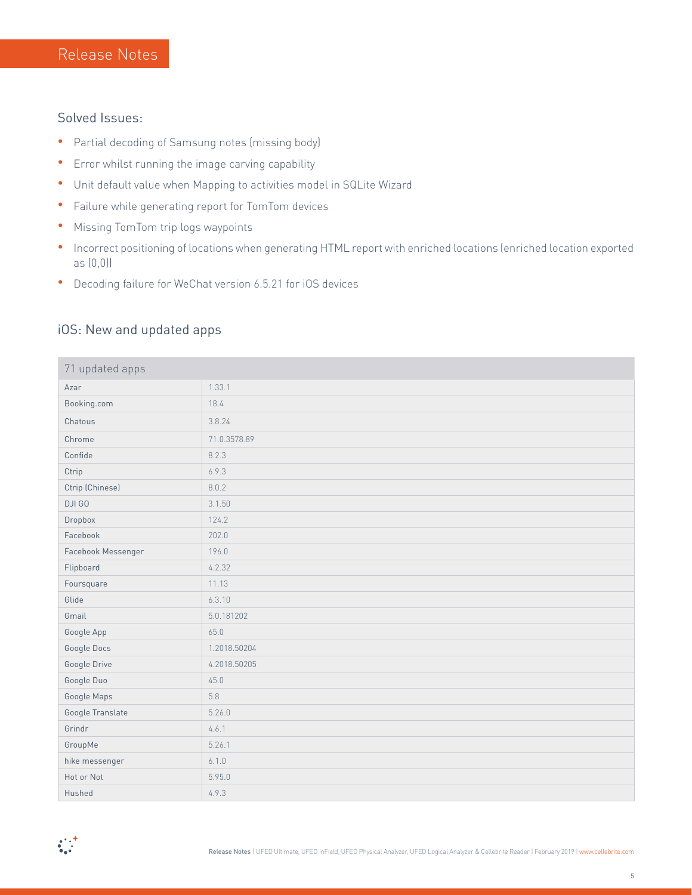#### Solved Issues:

- **•** Partial decoding of Samsung notes (missing body)
- **•** Error whilst running the image carving capability
- Unit default value when Mapping to activities model in SQLite Wizard
- Failure while generating report for TomTom devices
- Missing TomTom trip logs waypoints
- **•** Incorrect positioning of locations when generating HTML report with enriched locations (enriched location exported  $as (0,0)]$
- Decoding failure for WeChat version 6.5.21 for iOS devices

#### iOS: New and updated apps

| 71 updated apps    |              |  |
|--------------------|--------------|--|
| Azar               | 1.33.1       |  |
| Booking.com        | 18.4         |  |
| Chatous            | 3.8.24       |  |
| Chrome             | 71.0.3578.89 |  |
| Confide            | 8.2.3        |  |
| Ctrip              | 6.9.3        |  |
| Ctrip (Chinese)    | 8.0.2        |  |
| DJI GO             | 3.1.50       |  |
| Dropbox            | 124.2        |  |
| Facebook           | 202.0        |  |
| Facebook Messenger | 196.0        |  |
| Flipboard          | 4.2.32       |  |
| Foursquare         | 11.13        |  |
| Glide              | 6.3.10       |  |
| Gmail              | 5.0.181202   |  |
| Google App         | 65.0         |  |
| Google Docs        | 1.2018.50204 |  |
| Google Drive       | 4.2018.50205 |  |
| Google Duo         | 45.0         |  |
| Google Maps        | 5.8          |  |
| Google Translate   | 5.26.0       |  |
| Grindr             | 4.6.1        |  |
| GroupMe            | 5.26.1       |  |
| hike messenger     | 6.1.0        |  |
| Hot or Not         | 5.95.0       |  |
| Hushed             | 4.9.3        |  |

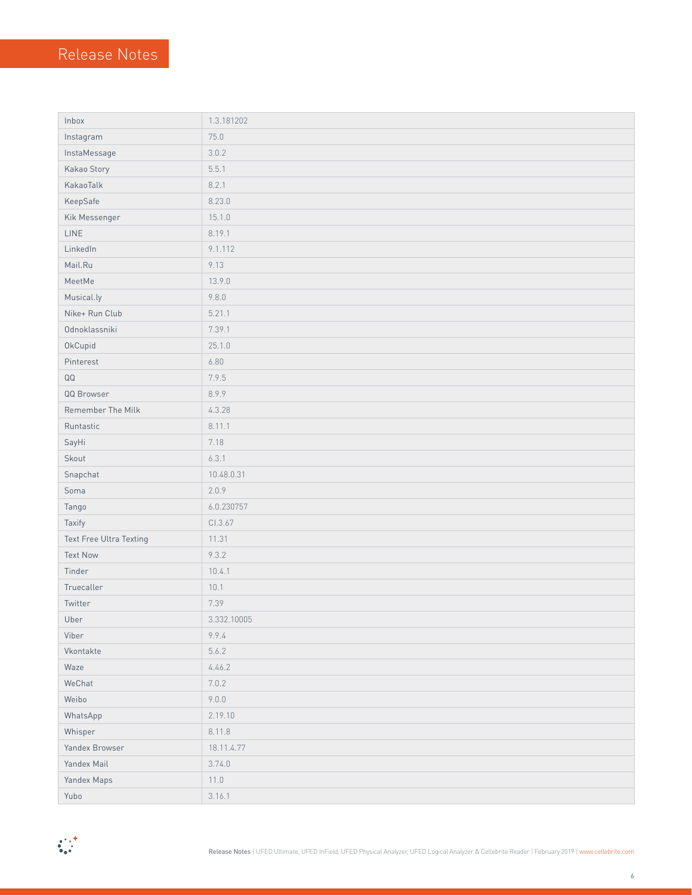| Inbox                   | 1.3.181202  |
|-------------------------|-------------|
| Instagram               | 75.0        |
| InstaMessage            | 3.0.2       |
| Kakao Story             | 5.5.1       |
| KakaoTalk               | 8.2.1       |
| KeepSafe                | 8.23.0      |
| Kik Messenger           | 15.1.0      |
| LINE                    | 8.19.1      |
| LinkedIn                | 9.1.112     |
| Mail.Ru                 | 9.13        |
| MeetMe                  | 13.9.0      |
| Musical.ly              | 9.8.0       |
| Nike+ Run Club          | 5.21.1      |
| Odnoklassniki           | 7.39.1      |
| OkCupid                 | 25.1.0      |
| Pinterest               | 6.80        |
| $\mathsf{Q}\mathsf{Q}$  | 7.9.5       |
| QQ Browser              | 8.9.9       |
| Remember The Milk       | 4.3.28      |
| Runtastic               | 8.11.1      |
| SayHi                   | 7.18        |
| Skout                   | 6.3.1       |
| Snapchat                | 10.48.0.31  |
| Soma                    | 2.0.9       |
| Tango                   | 6.0.230757  |
| Taxify                  | CI.3.67     |
| Text Free Ultra Texting | 11.31       |
| <b>Text Now</b>         | 9.3.2       |
| Tinder                  | 10.4.1      |
| Truecaller              | 10.1        |
| Twitter                 | 7.39        |
| Uber                    | 3.332.10005 |
| Viber                   | 9.9.4       |
| Vkontakte               | 5.6.2       |
| Waze                    | 4.46.2      |
| WeChat                  | 7.0.2       |
| Weibo                   | 9.0.0       |
| WhatsApp                | 2.19.10     |
| Whisper                 | 8.11.8      |
| Yandex Browser          | 18.11.4.77  |
| Yandex Mail             | 3.74.0      |
| Yandex Maps             | 11.0        |
| Yubo                    | 3.16.1      |

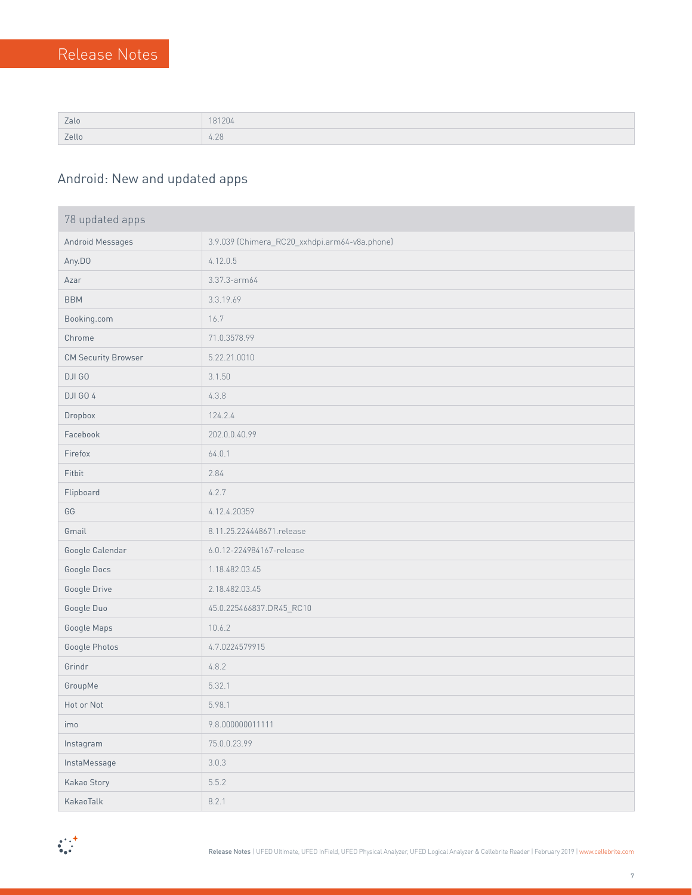| Zalo  | 181204         |
|-------|----------------|
| Zello | $\cap$<br>4.70 |

### Android: New and updated apps

| 78 updated apps            |                                               |  |
|----------------------------|-----------------------------------------------|--|
| Android Messages           | 3.9.039 (Chimera_RC20_xxhdpi.arm64-v8a.phone) |  |
| Any.DO                     | 4.12.0.5                                      |  |
| Azar                       | 3.37.3-arm64                                  |  |
| <b>BBM</b>                 | 3.3.19.69                                     |  |
| Booking.com                | 16.7                                          |  |
| Chrome                     | 71.0.3578.99                                  |  |
| <b>CM Security Browser</b> | 5.22.21.0010                                  |  |
| DJI GO                     | 3.1.50                                        |  |
| DJI GO 4                   | 4.3.8                                         |  |
| Dropbox                    | 124.2.4                                       |  |
| Facebook                   | 202.0.0.40.99                                 |  |
| Firefox                    | 64.0.1                                        |  |
| Fitbit                     | 2.84                                          |  |
| Flipboard                  | 4.2.7                                         |  |
| GG                         | 4.12.4.20359                                  |  |
| Gmail                      | 8.11.25.224448671.release                     |  |
| Google Calendar            | 6.0.12-224984167-release                      |  |
| Google Docs                | 1.18.482.03.45                                |  |
| Google Drive               | 2.18.482.03.45                                |  |
| Google Duo                 | 45.0.225466837.DR45_RC10                      |  |
| Google Maps                | 10.6.2                                        |  |
| Google Photos              | 4.7.0224579915                                |  |
| Grindr                     | 4.8.2                                         |  |
| GroupMe                    | 5.32.1                                        |  |
| Hot or Not                 | 5.98.1                                        |  |
| imo                        | 9.8.000000011111                              |  |
| Instagram                  | 75.0.0.23.99                                  |  |
| InstaMessage               | 3.0.3                                         |  |
| Kakao Story                | 5.5.2                                         |  |
| KakaoTalk                  | 8.2.1                                         |  |

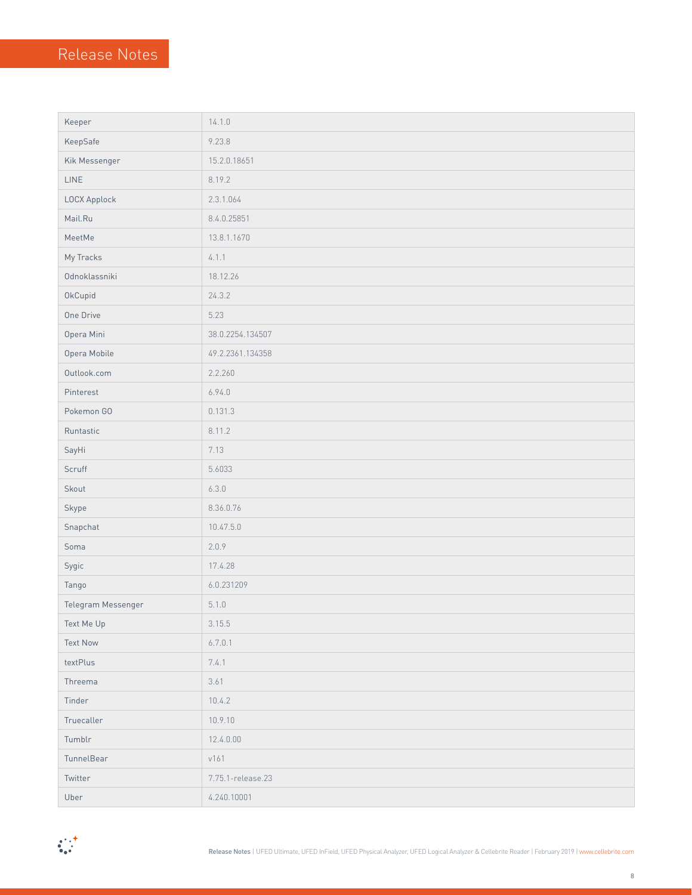| Keeper             | 14.1.0            |
|--------------------|-------------------|
| KeepSafe           | 9.23.8            |
| Kik Messenger      | 15.2.0.18651      |
| LINE               | 8.19.2            |
| LOCX Applock       | 2.3.1.064         |
| Mail.Ru            | 8.4.0.25851       |
| MeetMe             | 13.8.1.1670       |
| My Tracks          | 4.1.1             |
| Odnoklassniki      | 18.12.26          |
| OkCupid            | 24.3.2            |
| One Drive          | 5.23              |
| Opera Mini         | 38.0.2254.134507  |
| Opera Mobile       | 49.2.2361.134358  |
| Outlook.com        | 2.2.260           |
| Pinterest          | 6.94.0            |
| Pokemon GO         | 0.131.3           |
| Runtastic          | 8.11.2            |
| SayHi              | 7.13              |
| Scruff             | 5.6033            |
| Skout              | 6.3.0             |
| Skype              | 8.36.0.76         |
| Snapchat           | 10.47.5.0         |
| Soma               | 2.0.9             |
| Sygic              | 17.4.28           |
| Tango              | 6.0.231209        |
| Telegram Messenger | 5.1.0             |
| Text Me Up         | 3.15.5            |
| <b>Text Now</b>    | 6.7.0.1           |
| textPlus           | 7.4.1             |
| Threema            | 3.61              |
| Tinder             | 10.4.2            |
| Truecaller         | 10.9.10           |
| Tumblr             | 12.4.0.00         |
| TunnelBear         | v161              |
| Twitter            | 7.75.1-release.23 |
| Uber               | 4.240.10001       |

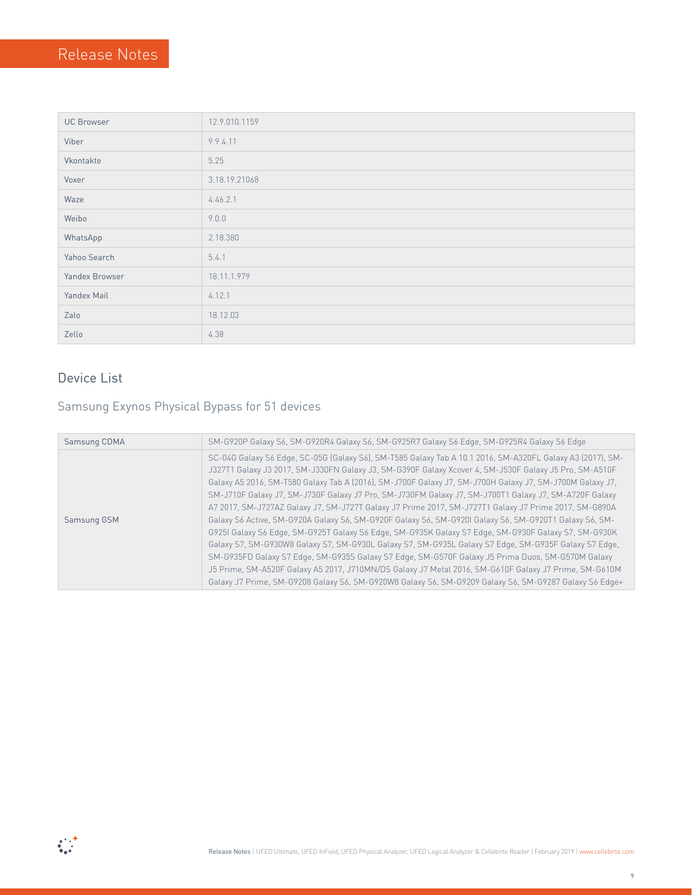| <b>UC Browser</b> | 12.9.010.1159 |
|-------------------|---------------|
| Viber             | 9.9.4.11      |
| Vkontakte         | 5.25          |
| Voxer             | 3.18.19.21068 |
| Waze              | 4.46.2.1      |
| Weibo             | 9.0.0         |
| WhatsApp          | 2.18.380      |
| Yahoo Search      | 5.4.1         |
| Yandex Browser    | 18.11.1.979   |
| Yandex Mail       | 4.12.1        |
| Zalo              | 18.12.03      |
| Zello             | 4.38          |

### Device List

### Samsung Exynos Physical Bypass for 51 devices

| Samsung CDMA | SM-G920P Galaxy S6, SM-G920R4 Galaxy S6, SM-G925R7 Galaxy S6 Edge, SM-G925R4 Galaxy S6 Edge                                                                                                                                                                                                                                                                                                                                                                                                                                                                                                                                                                                                                                                                                                                                                                                                                                                                                                                                                                                                                                                                                                           |
|--------------|-------------------------------------------------------------------------------------------------------------------------------------------------------------------------------------------------------------------------------------------------------------------------------------------------------------------------------------------------------------------------------------------------------------------------------------------------------------------------------------------------------------------------------------------------------------------------------------------------------------------------------------------------------------------------------------------------------------------------------------------------------------------------------------------------------------------------------------------------------------------------------------------------------------------------------------------------------------------------------------------------------------------------------------------------------------------------------------------------------------------------------------------------------------------------------------------------------|
| Samsung GSM  | SC-04G Galaxy S6 Edge, SC-05G (Galaxy S6), SM-T585 Galaxy Tab A 10.1 2016, SM-A320FL Galaxy A3 (2017), SM-<br>J327T1 Galaxy J3 2017, SM-J330FN Galaxy J3, SM-G390F Galaxy Xcover 4, SM-J530F Galaxy J5 Pro, SM-A510F<br>Galaxy A5 2016, SM-T580 Galaxy Tab A (2016), SM-J700F Galaxy J7, SM-J700H Galaxy J7, SM-J700M Galaxy J7,<br>SM-J710F Galaxy J7, SM-J730F Galaxy J7 Pro, SM-J730FM Galaxy J7, SM-J700T1 Galaxy J7, SM-A720F Galaxy<br>A7 2017, SM-J727AZ Galaxy J7, SM-J727T Galaxy J7 Prime 2017, SM-J727T1 Galaxy J7 Prime 2017, SM-G890A<br>Galaxy S6 Active, SM-G920A Galaxy S6, SM-G920F Galaxy S6, SM-G920I Galaxy S6, SM-G920T1 Galaxy S6, SM-<br>G925I Galaxy S6 Edge, SM-G925T Galaxy S6 Edge, SM-G935K Galaxy S7 Edge, SM-G930F Galaxy S7, SM-G930K<br>Galaxy S7, SM-G930W8 Galaxy S7, SM-G930L Galaxy S7, SM-G935L Galaxy S7 Edge, SM-G935F Galaxy S7 Edge,<br>SM-G935FD Galaxy S7 Edge, SM-G935S Galaxy S7 Edge, SM-G570F Galaxy J5 Prima Duos, SM-G570M Galaxy<br>J5 Prime, SM-A520F Galaxy A5 2017, J710MN/DS Galaxy J7 Metal 2016, SM-G610F Galaxy J7 Prime, SM-G610M<br>Galaxy J7 Prime, SM-G9208 Galaxy S6, SM-G920W8 Galaxy S6, SM-G9209 Galaxy S6, SM-G9287 Galaxy S6 Edge+ |

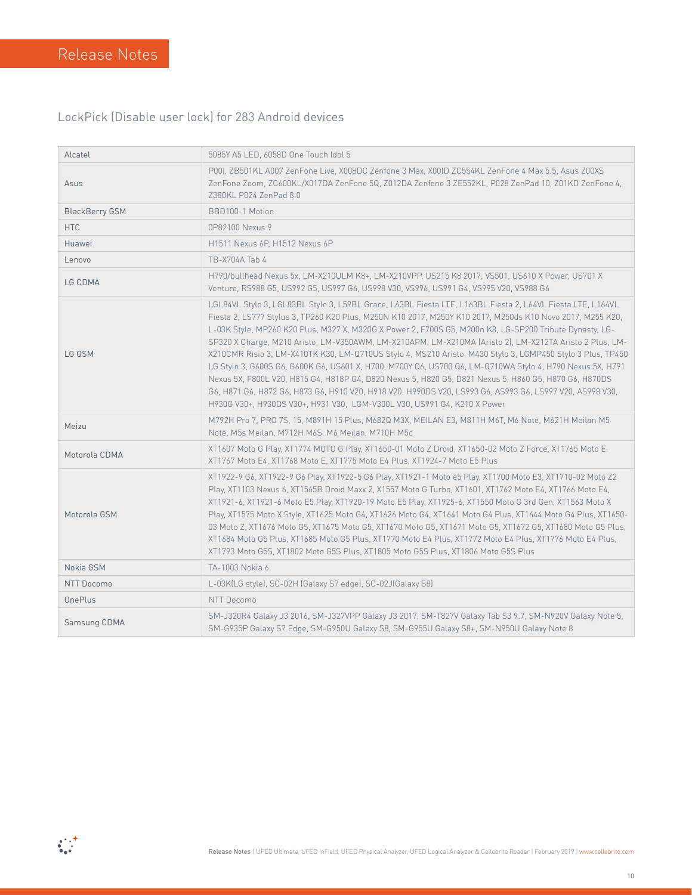#### LockPick (Disable user lock) for 283 Android devices

| Alcatel               | 5085Y A5 LED, 6058D One Touch Idol 5                                                                                                                                                                                                                                                                                                                                                                                                                                                                                                                                                                                                                                                                                                                                                                                                                                                                                                                                      |
|-----------------------|---------------------------------------------------------------------------------------------------------------------------------------------------------------------------------------------------------------------------------------------------------------------------------------------------------------------------------------------------------------------------------------------------------------------------------------------------------------------------------------------------------------------------------------------------------------------------------------------------------------------------------------------------------------------------------------------------------------------------------------------------------------------------------------------------------------------------------------------------------------------------------------------------------------------------------------------------------------------------|
| Asus                  | P001, ZB501KL A007 ZenFone Live, X008DC Zenfone 3 Max, X00ID ZC554KL ZenFone 4 Max 5.5, Asus Z00XS<br>ZenFone Zoom, ZC600KL/X017DA ZenFone 5Q, Z012DA Zenfone 3 ZE552KL, P028 ZenPad 10, Z01KD ZenFone 4,<br>Z380KL P024 ZenPad 8.0                                                                                                                                                                                                                                                                                                                                                                                                                                                                                                                                                                                                                                                                                                                                       |
| <b>BlackBerry GSM</b> | BBD100-1 Motion                                                                                                                                                                                                                                                                                                                                                                                                                                                                                                                                                                                                                                                                                                                                                                                                                                                                                                                                                           |
| <b>HTC</b>            | 0P82100 Nexus 9                                                                                                                                                                                                                                                                                                                                                                                                                                                                                                                                                                                                                                                                                                                                                                                                                                                                                                                                                           |
| Huawei                | H1511 Nexus 6P, H1512 Nexus 6P                                                                                                                                                                                                                                                                                                                                                                                                                                                                                                                                                                                                                                                                                                                                                                                                                                                                                                                                            |
| Lenovo                | TB-X704A Tab 4                                                                                                                                                                                                                                                                                                                                                                                                                                                                                                                                                                                                                                                                                                                                                                                                                                                                                                                                                            |
| LG CDMA               | H790/bullhead Nexus 5x, LM-X210ULM K8+, LM-X210VPP, US215 K8 2017, VS501, US610 X Power, US701 X<br>Venture, RS988 G5, US992 G5, US997 G6, US998 V30, VS996, US991 G4, VS995 V20, VS988 G6                                                                                                                                                                                                                                                                                                                                                                                                                                                                                                                                                                                                                                                                                                                                                                                |
| LG GSM                | LGL84VL Stylo 3, LGL83BL Stylo 3, L59BL Grace, L63BL Fiesta LTE, L163BL Fiesta 2, L64VL Fiesta LTE, L164VL<br>Fiesta 2, LS777 Stylus 3, TP260 K20 Plus, M250N K10 2017, M250Y K10 2017, M250ds K10 Novo 2017, M255 K20,<br>L-03K Style, MP260 K20 Plus, M327 X, M320G X Power 2, F700S G5, M200n K8, LG-SP200 Tribute Dynasty, LG-<br>SP320 X Charge, M210 Aristo, LM-V350AWM, LM-X210APM, LM-X210MA (Aristo 2), LM-X212TA Aristo 2 Plus, LM-<br>X210CMR Risio 3, LM-X410TK K30, LM-Q710US Stylo 4, MS210 Aristo, M430 Stylo 3, LGMP450 Stylo 3 Plus, TP450<br>LG Stylo 3, G600S G6, G600K G6, US601 X, H700, M700Y Q6, US700 Q6, LM-Q710WA Stylo 4, H790 Nexus 5X, H791<br>Nexus 5X, F800L V20, H815 G4, H818P G4, D820 Nexus 5, H820 G5, D821 Nexus 5, H860 G5, H870 G6, H870DS<br>G6, H871 G6, H872 G6, H873 G6, H910 V20, H918 V20, H990DS V20, LS993 G6, AS993 G6, LS997 V20, AS998 V30,<br>H930G V30+, H930DS V30+, H931 V30, LGM-V300L V30, US991 G4, K210 X Power |
| Meizu                 | M792H Pro 7, PRO 7S, 15, M891H 15 Plus, M682Q M3X, MEILAN E3, M811H M6T, M6 Note, M621H Meilan M5<br>Note, M5s Meilan, M712H M6S, M6 Meilan, M710H M5c                                                                                                                                                                                                                                                                                                                                                                                                                                                                                                                                                                                                                                                                                                                                                                                                                    |
| Motorola CDMA         | XT1607 Moto G Play, XT1774 MOTO G Play, XT1650-01 Moto Z Droid, XT1650-02 Moto Z Force, XT1765 Moto E,<br>XT1767 Moto E4, XT1768 Moto E, XT1775 Moto E4 Plus, XT1924-7 Moto E5 Plus                                                                                                                                                                                                                                                                                                                                                                                                                                                                                                                                                                                                                                                                                                                                                                                       |
| Motorola GSM          | XT1922-9 G6, XT1922-9 G6 Play, XT1922-5 G6 Play, XT1921-1 Moto e5 Play, XT1700 Moto E3, XT1710-02 Moto Z2<br>Play, XT1103 Nexus 6, XT1565B Droid Maxx 2, X1557 Moto G Turbo, XT1601, XT1762 Moto E4, XT1766 Moto E4,<br>XT1921-6, XT1921-6 Moto E5 Play, XT1920-19 Moto E5 Play, XT1925-6, XT1550 Moto G 3rd Gen, XT1563 Moto X<br>Play, XT1575 Moto X Style, XT1625 Moto G4, XT1626 Moto G4, XT1641 Moto G4 Plus, XT1644 Moto G4 Plus, XT1650-<br>03 Moto Z, XT1676 Moto G5, XT1675 Moto G5, XT1670 Moto G5, XT1671 Moto G5, XT1672 G5, XT1680 Moto G5 Plus,<br>XT1684 Moto G5 Plus, XT1685 Moto G5 Plus, XT1770 Moto E4 Plus, XT1772 Moto E4 Plus, XT1776 Moto E4 Plus,<br>XT1793 Moto G5S, XT1802 Moto G5S Plus, XT1805 Moto G5S Plus, XT1806 Moto G5S Plus                                                                                                                                                                                                            |
| Nokia GSM             | TA-1003 Nokia 6                                                                                                                                                                                                                                                                                                                                                                                                                                                                                                                                                                                                                                                                                                                                                                                                                                                                                                                                                           |
| NTT Docomo            | L-03K(LG style), SC-02H (Galaxy S7 edge), SC-02J(Galaxy S8)                                                                                                                                                                                                                                                                                                                                                                                                                                                                                                                                                                                                                                                                                                                                                                                                                                                                                                               |
| <b>OnePlus</b>        | NTT Docomo                                                                                                                                                                                                                                                                                                                                                                                                                                                                                                                                                                                                                                                                                                                                                                                                                                                                                                                                                                |
| Samsung CDMA          | SM-J320R4 Galaxy J3 2016, SM-J327VPP Galaxy J3 2017, SM-T827V Galaxy Tab S3 9.7, SM-N920V Galaxy Note 5,<br>SM-G935P Galaxy S7 Edge, SM-G950U Galaxy S8, SM-G955U Galaxy S8+, SM-N950U Galaxy Note 8                                                                                                                                                                                                                                                                                                                                                                                                                                                                                                                                                                                                                                                                                                                                                                      |

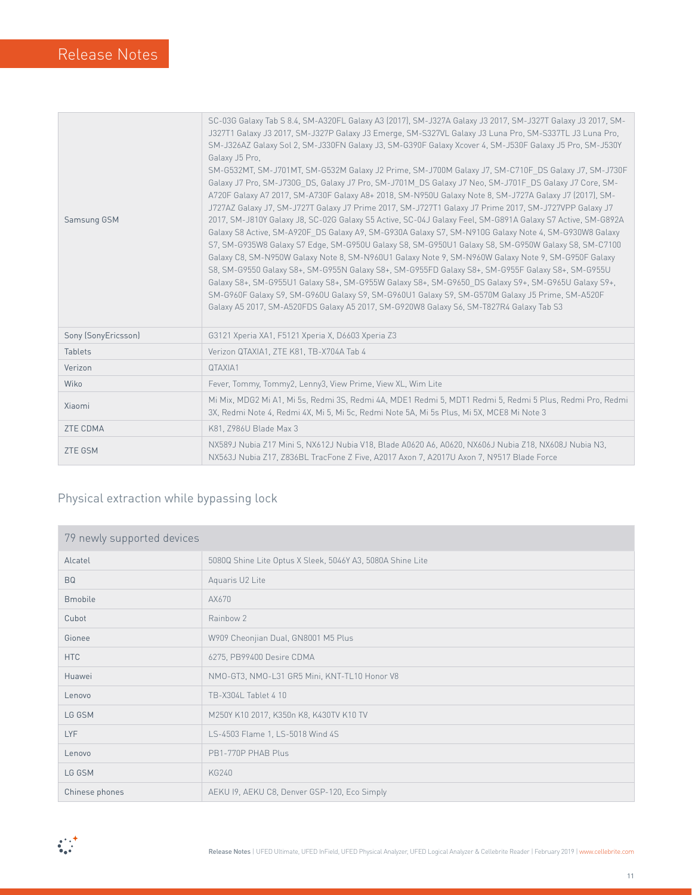| Samsung GSM         | SC-03G Galaxy Tab S 8.4, SM-A320FL Galaxy A3 (2017), SM-J327A Galaxy J3 2017, SM-J327T Galaxy J3 2017, SM-<br>J327T1 Galaxy J3 2017, SM-J327P Galaxy J3 Emerge, SM-S327VL Galaxy J3 Luna Pro, SM-S337TL J3 Luna Pro,<br>SM-J326AZ Galaxy Sol 2, SM-J330FN Galaxy J3, SM-G390F Galaxy Xcover 4, SM-J530F Galaxy J5 Pro, SM-J530Y<br>Galaxy J5 Pro.<br>SM-G532MT, SM-J701MT, SM-G532M Galaxy J2 Prime, SM-J700M Galaxy J7, SM-C710F DS Galaxy J7, SM-J730F<br>Galaxy J7 Pro, SM-J730G DS, Galaxy J7 Pro, SM-J701M DS Galaxy J7 Neo, SM-J701F DS Galaxy J7 Core, SM-<br>A720F Galaxy A7 2017, SM-A730F Galaxy A8+ 2018, SM-N950U Galaxy Note 8, SM-J727A Galaxy J7 (2017), SM-<br>J727AZ Galaxy J7, SM-J727T Galaxy J7 Prime 2017, SM-J727T1 Galaxy J7 Prime 2017, SM-J727VPP Galaxy J7<br>2017, SM-J810Y Galaxy J8, SC-02G Galaxy S5 Active, SC-04J Galaxy Feel, SM-G891A Galaxy S7 Active, SM-G892A<br>Galaxy S8 Active, SM-A920F DS Galaxy A9, SM-G930A Galaxy S7, SM-N910G Galaxy Note 4, SM-G930W8 Galaxy<br>S7, SM-G935W8 Galaxy S7 Edge, SM-G950U Galaxy S8, SM-G950U1 Galaxy S8, SM-G950W Galaxy S8, SM-C7100<br>Galaxy C8, SM-N950W Galaxy Note 8, SM-N960U1 Galaxy Note 9, SM-N960W Galaxy Note 9, SM-G950F Galaxy<br>S8, SM-G9550 Galaxy S8+, SM-G955N Galaxy S8+, SM-G955FD Galaxy S8+, SM-G955F Galaxy S8+, SM-G955U<br>Galaxy S8+, SM-G955U1 Galaxy S8+, SM-G955W Galaxy S8+, SM-G9650 DS Galaxy S9+, SM-G965U Galaxy S9+,<br>SM-G960F Galaxy S9, SM-G960U Galaxy S9, SM-G960U1 Galaxy S9, SM-G570M Galaxy J5 Prime, SM-A520F<br>Galaxy A5 2017, SM-A520FDS Galaxy A5 2017, SM-G920W8 Galaxy S6, SM-T827R4 Galaxy Tab S3 |
|---------------------|-------------------------------------------------------------------------------------------------------------------------------------------------------------------------------------------------------------------------------------------------------------------------------------------------------------------------------------------------------------------------------------------------------------------------------------------------------------------------------------------------------------------------------------------------------------------------------------------------------------------------------------------------------------------------------------------------------------------------------------------------------------------------------------------------------------------------------------------------------------------------------------------------------------------------------------------------------------------------------------------------------------------------------------------------------------------------------------------------------------------------------------------------------------------------------------------------------------------------------------------------------------------------------------------------------------------------------------------------------------------------------------------------------------------------------------------------------------------------------------------------------------------------------------------------------------------------------------------------------------------------------------|
| Sony (SonyEricsson) | G3121 Xperia XA1, F5121 Xperia X, D6603 Xperia Z3                                                                                                                                                                                                                                                                                                                                                                                                                                                                                                                                                                                                                                                                                                                                                                                                                                                                                                                                                                                                                                                                                                                                                                                                                                                                                                                                                                                                                                                                                                                                                                                   |
| <b>Tablets</b>      | Verizon QTAXIA1, ZTE K81, TB-X704A Tab 4                                                                                                                                                                                                                                                                                                                                                                                                                                                                                                                                                                                                                                                                                                                                                                                                                                                                                                                                                                                                                                                                                                                                                                                                                                                                                                                                                                                                                                                                                                                                                                                            |
| Verizon             | QTAXIA1                                                                                                                                                                                                                                                                                                                                                                                                                                                                                                                                                                                                                                                                                                                                                                                                                                                                                                                                                                                                                                                                                                                                                                                                                                                                                                                                                                                                                                                                                                                                                                                                                             |
| Wiko                | Fever, Tommy, Tommy2, Lenny3, View Prime, View XL, Wim Lite                                                                                                                                                                                                                                                                                                                                                                                                                                                                                                                                                                                                                                                                                                                                                                                                                                                                                                                                                                                                                                                                                                                                                                                                                                                                                                                                                                                                                                                                                                                                                                         |
| Xiaomi              | Mi Mix, MDG2 Mi A1, Mi 5s, Redmi 3S, Redmi 4A, MDE1 Redmi 5, MDT1 Redmi 5, Redmi 5 Plus, Redmi Pro, Redmi<br>3X, Redmi Note 4, Redmi 4X, Mi 5, Mi 5c, Redmi Note 5A, Mi 5s Plus, Mi 5X, MCE8 Mi Note 3                                                                                                                                                                                                                                                                                                                                                                                                                                                                                                                                                                                                                                                                                                                                                                                                                                                                                                                                                                                                                                                                                                                                                                                                                                                                                                                                                                                                                              |
| <b>ZTE CDMA</b>     | K81, Z986U Blade Max 3                                                                                                                                                                                                                                                                                                                                                                                                                                                                                                                                                                                                                                                                                                                                                                                                                                                                                                                                                                                                                                                                                                                                                                                                                                                                                                                                                                                                                                                                                                                                                                                                              |
| <b>ZTE GSM</b>      | NX589J Nubia Z17 Mini S, NX612J Nubia V18, Blade A0620 A6, A0620, NX606J Nubia Z18, NX608J Nubia N3,<br>NX563J Nubia Z17, Z836BL TracFone Z Five, A2017 Axon 7, A2017U Axon 7, N9517 Blade Force                                                                                                                                                                                                                                                                                                                                                                                                                                                                                                                                                                                                                                                                                                                                                                                                                                                                                                                                                                                                                                                                                                                                                                                                                                                                                                                                                                                                                                    |

### Physical extraction while bypassing lock

| 79 newly supported devices |                                                            |  |
|----------------------------|------------------------------------------------------------|--|
| Alcatel                    | 5080Q Shine Lite Optus X Sleek, 5046Y A3, 5080A Shine Lite |  |
| <b>BQ</b>                  | Aquaris U2 Lite                                            |  |
| <b>Bmobile</b>             | AX670                                                      |  |
| Cubot                      | Rainbow 2                                                  |  |
| Gionee                     | W909 Cheonjian Dual, GN8001 M5 Plus                        |  |
| <b>HTC</b>                 | 6275, PB99400 Desire CDMA                                  |  |
| Huawei                     | NMO-GT3, NMO-L31 GR5 Mini, KNT-TL10 Honor V8               |  |
| Lenovo                     | TB-X304L Tablet 4 10                                       |  |
| LG GSM                     | M250Y K10 2017, K350n K8, K430TV K10 TV                    |  |
| <b>LYF</b>                 | LS-4503 Flame 1, LS-5018 Wind 4S                           |  |
| Lenovo                     | PB1-770P PHAB Plus                                         |  |
| LG GSM                     | <b>KG240</b>                                               |  |
| Chinese phones             | AEKU 19, AEKU C8, Denver GSP-120, Eco Simply               |  |

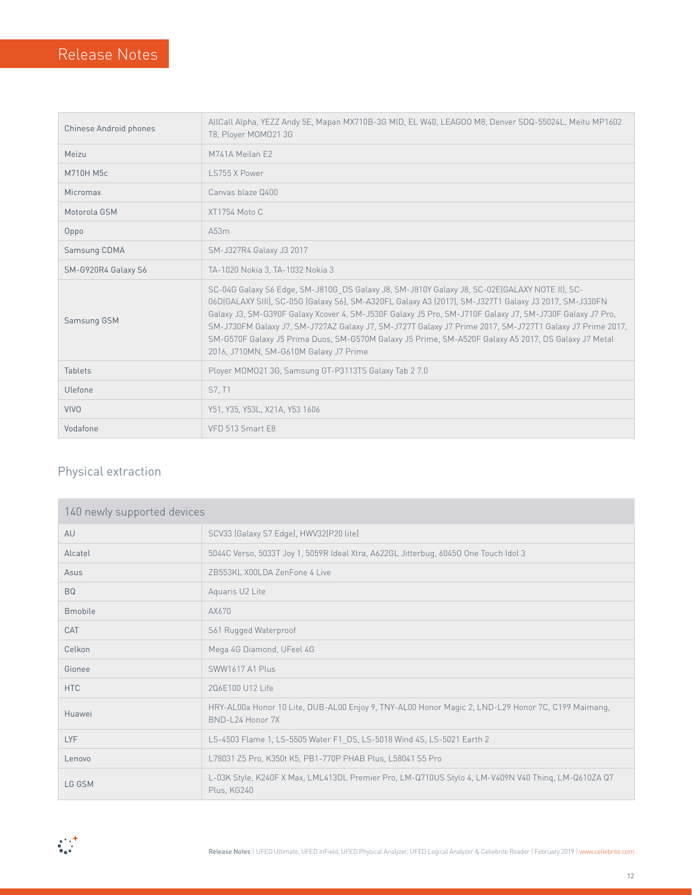| Chinese Android phones | AllCall Alpha, YEZZ Andy 5E, Mapan MX710B-3G MID, EL W40, LEAGOO M8, Denver SDQ-55024L, Meitu MP1602<br>T8, Ployer MOM021 3G                                                                                                                                                                                                                                                                                                                                                                                                                                                     |  |
|------------------------|----------------------------------------------------------------------------------------------------------------------------------------------------------------------------------------------------------------------------------------------------------------------------------------------------------------------------------------------------------------------------------------------------------------------------------------------------------------------------------------------------------------------------------------------------------------------------------|--|
| Meizu                  | M741A Meilan F2                                                                                                                                                                                                                                                                                                                                                                                                                                                                                                                                                                  |  |
| M710H M5c              | LS755 X Power                                                                                                                                                                                                                                                                                                                                                                                                                                                                                                                                                                    |  |
| Micromax               | Canvas blaze 0400                                                                                                                                                                                                                                                                                                                                                                                                                                                                                                                                                                |  |
| Motorola GSM           | XT1754 Moto C                                                                                                                                                                                                                                                                                                                                                                                                                                                                                                                                                                    |  |
| Oppo                   | A53m                                                                                                                                                                                                                                                                                                                                                                                                                                                                                                                                                                             |  |
| Samsung CDMA           | SM-J327R4 Galaxy J3 2017                                                                                                                                                                                                                                                                                                                                                                                                                                                                                                                                                         |  |
| SM-G920R4 Galaxy S6    | TA-1020 Nokia 3, TA-1032 Nokia 3                                                                                                                                                                                                                                                                                                                                                                                                                                                                                                                                                 |  |
| Samsung GSM            | SC-04G Galaxy S6 Edge, SM-J810G DS Galaxy J8, SM-J810Y Galaxy J8, SC-02E(GALAXY NOTE II), SC-<br>06D(GALAXY SIII), SC-05G (Galaxy S6), SM-A320FL Galaxy A3 (2017), SM-J327T1 Galaxy J3 2017, SM-J330FN<br>Galaxy J3, SM-G390F Galaxy Xcover 4, SM-J530F Galaxy J5 Pro, SM-J710F Galaxy J7, SM-J730F Galaxy J7 Pro,<br>SM-J730FM Galaxy J7, SM-J727AZ Galaxy J7, SM-J727T Galaxy J7 Prime 2017, SM-J727T1 Galaxy J7 Prime 2017,<br>SM-G570F Galaxy J5 Prima Duos, SM-G570M Galaxy J5 Prime, SM-A520F Galaxy A5 2017, DS Galaxy J7 Metal<br>2016, J710MN, SM-G610M Galaxy J7 Prime |  |
| <b>Tablets</b>         | Ployer MOMO21 3G, Samsung GT-P3113TS Galaxy Tab 2 7.0                                                                                                                                                                                                                                                                                                                                                                                                                                                                                                                            |  |
| Ulefone                | S7, T1                                                                                                                                                                                                                                                                                                                                                                                                                                                                                                                                                                           |  |
| <b>VIVO</b>            | Y51, Y35, Y53L, X21A, Y53 1606                                                                                                                                                                                                                                                                                                                                                                                                                                                                                                                                                   |  |
| Vodafone               | VFD 513 Smart E8                                                                                                                                                                                                                                                                                                                                                                                                                                                                                                                                                                 |  |

### Physical extraction

| 140 newly supported devices |                                                                                                                        |  |  |
|-----------------------------|------------------------------------------------------------------------------------------------------------------------|--|--|
| AU                          | SCV33 (Galaxy S7 Edge), HWV32(P20 lite)                                                                                |  |  |
| Alcatel                     | 5044C Verso, 5033T Joy 1, 5059R Ideal Xtra, A622GL Jitterbug, 60450 One Touch Idol 3                                   |  |  |
| Asus                        | 7B553KL X00LDA ZenFone 4 Live                                                                                          |  |  |
| <b>BQ</b>                   | Aquaris U2 Lite                                                                                                        |  |  |
| <b>Bmobile</b>              | AX670                                                                                                                  |  |  |
| CAT                         | S61 Rugged Waterproof                                                                                                  |  |  |
| Celkon                      | Mega 4G Diamond, UFeel 4G                                                                                              |  |  |
| Gionee                      | SWW1617 A1 Plus                                                                                                        |  |  |
| <b>HTC</b>                  | 206E100 U12 Life                                                                                                       |  |  |
| Huawei                      | HRY-AL00a Honor 10 Lite, DUB-AL00 Enjoy 9, TNY-AL00 Honor Magic 2, LND-L29 Honor 7C, C199 Maimang,<br>BND-L24 Honor 7X |  |  |
| LYF                         | LS-4503 Flame 1, LS-5505 Water F1 DS, LS-5018 Wind 4S, LS-5021 Earth 2                                                 |  |  |
| Lenovo                      | L78031 Z5 Pro, K350t K5, PB1-770P PHAB Plus, L58041 S5 Pro                                                             |  |  |
| LG GSM                      | L-03K Style, K240F X Max, LML413DL Premier Pro, LM-Q710US Stylo 4, LM-V409N V40 Thing, LM-Q610ZA Q7<br>Plus, KG240     |  |  |

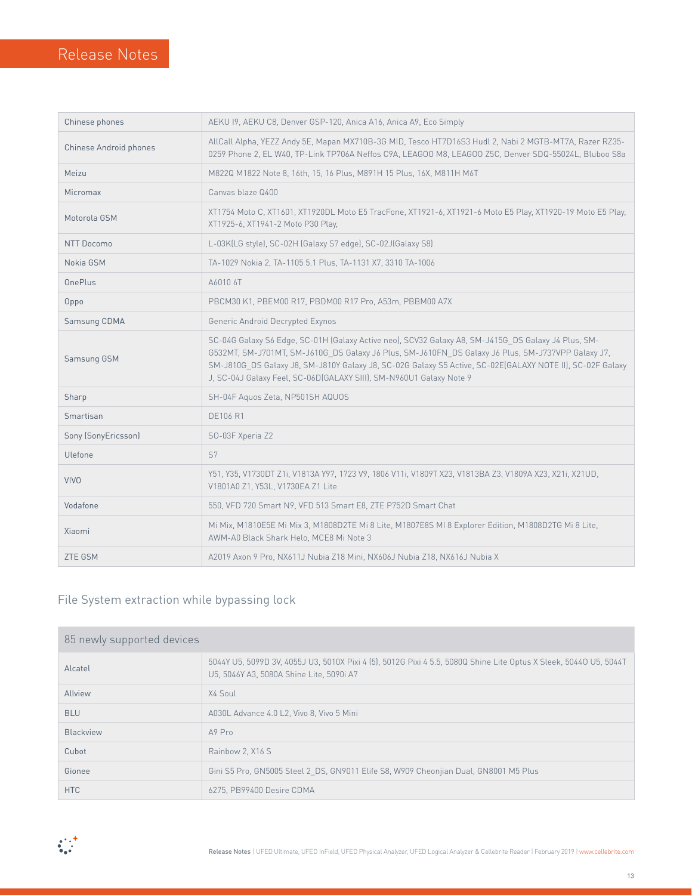$\overline{\phantom{a}}$ 

| Chinese phones         | AEKU 19, AEKU C8, Denver GSP-120, Anica A16, Anica A9, Eco Simply                                                                                                                                                                                                                                                                                                                            |  |
|------------------------|----------------------------------------------------------------------------------------------------------------------------------------------------------------------------------------------------------------------------------------------------------------------------------------------------------------------------------------------------------------------------------------------|--|
| Chinese Android phones | AllCall Alpha, YEZZ Andy 5E, Mapan MX710B-3G MID, Tesco HT7D16S3 Hudl 2, Nabi 2 MGTB-MT7A, Razer RZ35-<br>0259 Phone 2, EL W40, TP-Link TP706A Neffos C9A, LEAGOO M8, LEAGOO Z5C, Denver SDQ-55024L, Bluboo S8a                                                                                                                                                                              |  |
| Meizu                  | M822Q M1822 Note 8, 16th, 15, 16 Plus, M891H 15 Plus, 16X, M811H M6T                                                                                                                                                                                                                                                                                                                         |  |
| <b>Micromax</b>        | Canvas blaze Q400                                                                                                                                                                                                                                                                                                                                                                            |  |
| Motorola GSM           | XT1754 Moto C, XT1601, XT1920DL Moto E5 TracFone, XT1921-6, XT1921-6 Moto E5 Play, XT1920-19 Moto E5 Play,<br>XT1925-6, XT1941-2 Moto P30 Play,                                                                                                                                                                                                                                              |  |
| <b>NTT Docomo</b>      | L-03K(LG style), SC-02H (Galaxy S7 edge), SC-02J(Galaxy S8)                                                                                                                                                                                                                                                                                                                                  |  |
| Nokia GSM              | TA-1029 Nokia 2, TA-1105 5.1 Plus, TA-1131 X7, 3310 TA-1006                                                                                                                                                                                                                                                                                                                                  |  |
| <b>OnePlus</b>         | A6010 6T                                                                                                                                                                                                                                                                                                                                                                                     |  |
| Oppo                   | PBCM30 K1, PBEM00 R17, PBDM00 R17 Pro, A53m, PBBM00 A7X                                                                                                                                                                                                                                                                                                                                      |  |
| Samsung CDMA           | Generic Android Decrypted Exynos                                                                                                                                                                                                                                                                                                                                                             |  |
| Samsung GSM            | SC-04G Galaxy S6 Edge, SC-01H (Galaxy Active neo), SCV32 Galaxy A8, SM-J415G DS Galaxy J4 Plus, SM-<br>G532MT, SM-J701MT, SM-J610G DS Galaxy J6 Plus, SM-J610FN DS Galaxy J6 Plus, SM-J737VPP Galaxy J7,<br>SM-J810G_DS Galaxy J8, SM-J810Y Galaxy J8, SC-02G Galaxy S5 Active, SC-02E(GALAXY NOTE II), SC-02F Galaxy<br>J, SC-04J Galaxy Feel, SC-06D(GALAXY SIII), SM-N960U1 Galaxy Note 9 |  |
| Sharp                  | SH-04F Aquos Zeta, NP501SH AQUOS                                                                                                                                                                                                                                                                                                                                                             |  |
| Smartisan              | <b>DE106 R1</b>                                                                                                                                                                                                                                                                                                                                                                              |  |
| Sony (SonyEricsson)    | SO-03F Xperia Z2                                                                                                                                                                                                                                                                                                                                                                             |  |
| Ulefone                | S7                                                                                                                                                                                                                                                                                                                                                                                           |  |
| <b>VIVO</b>            | Y51, Y35, V1730DT Z1i, V1813A Y97, 1723 V9, 1806 V11i, V1809T X23, V1813BA Z3, V1809A X23, X21i, X21UD,<br>V1801A0 Z1, Y53L, V1730EA Z1 Lite                                                                                                                                                                                                                                                 |  |
| Vodafone               | 550, VFD 720 Smart N9, VFD 513 Smart E8, ZTE P752D Smart Chat                                                                                                                                                                                                                                                                                                                                |  |
| Xiaomi                 | Mi Mix, M1810E5E Mi Mix 3, M1808D2TE Mi 8 Lite, M1807E8S MI 8 Explorer Edition, M1808D2TG Mi 8 Lite,<br>AWM-A0 Black Shark Helo, MCE8 Mi Note 3                                                                                                                                                                                                                                              |  |
| <b>ZTE GSM</b>         | A2019 Axon 9 Pro, NX611J Nubia Z18 Mini, NX606J Nubia Z18, NX616J Nubia X                                                                                                                                                                                                                                                                                                                    |  |

### File System extraction while bypassing lock

| 85 newly supported devices |                                                                                                                                                               |  |
|----------------------------|---------------------------------------------------------------------------------------------------------------------------------------------------------------|--|
| Alcatel                    | 5044Y U5, 5099D 3V, 4055J U3, 5010X Pixi 4 (5), 5012G Pixi 4 5.5, 5080Q Shine Lite Optus X Sleek, 5044O U5, 5044T<br>U5, 5046Y A3, 5080A Shine Lite, 5090i A7 |  |
| Allview                    | X4 Soul                                                                                                                                                       |  |
| <b>BLU</b>                 | A030L Advance 4.0 L2. Vivo 8. Vivo 5 Mini                                                                                                                     |  |
| Blackview                  | A9 Pro                                                                                                                                                        |  |
| Cubot                      | Rainbow 2, X16 S                                                                                                                                              |  |
| Gionee                     | Gini S5 Pro, GN5005 Steel 2 DS, GN9011 Elife S8, W909 Cheonjian Dual, GN8001 M5 Plus                                                                          |  |
| HTC                        | 6275, PB99400 Desire CDMA                                                                                                                                     |  |

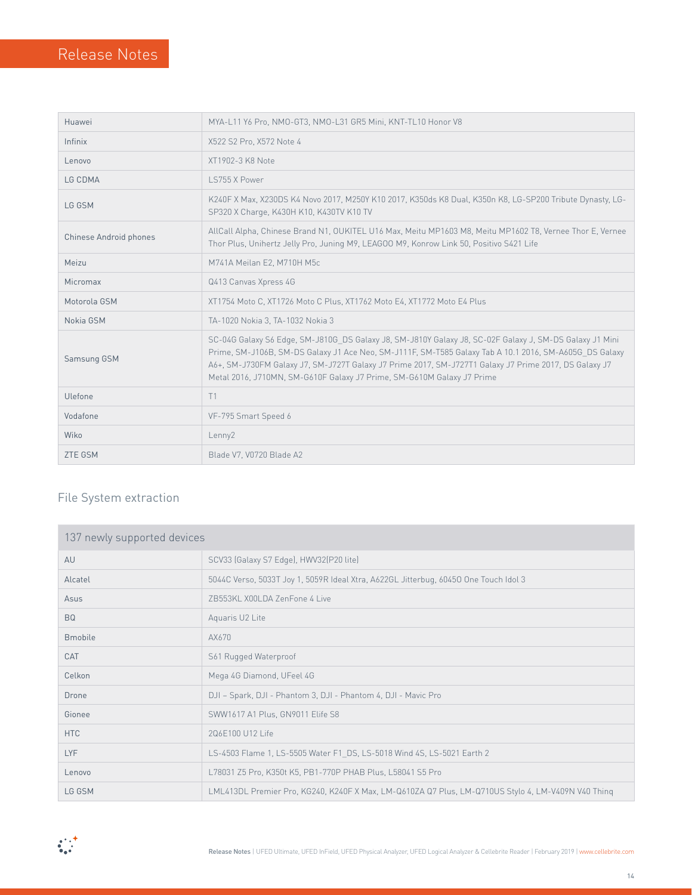| Huawei                 | MYA-L11 Y6 Pro, NMO-GT3, NMO-L31 GR5 Mini, KNT-TL10 Honor V8                                                                                                                                                                                                                                                                                                                                         |  |
|------------------------|------------------------------------------------------------------------------------------------------------------------------------------------------------------------------------------------------------------------------------------------------------------------------------------------------------------------------------------------------------------------------------------------------|--|
| Infinix                | X522 S2 Pro, X572 Note 4                                                                                                                                                                                                                                                                                                                                                                             |  |
| Lenovo                 | XT1902-3 K8 Note                                                                                                                                                                                                                                                                                                                                                                                     |  |
| LG CDMA                | LS755 X Power                                                                                                                                                                                                                                                                                                                                                                                        |  |
| LG GSM                 | K240F X Max, X230DS K4 Novo 2017, M250Y K10 2017, K350ds K8 Dual, K350n K8, LG-SP200 Tribute Dynasty, LG-<br>SP320 X Charge, K430H K10, K430TV K10 TV                                                                                                                                                                                                                                                |  |
| Chinese Android phones | AllCall Alpha, Chinese Brand N1, OUKITEL U16 Max, Meitu MP1603 M8, Meitu MP1602 T8, Vernee Thor E, Vernee<br>Thor Plus, Unihertz Jelly Pro, Juning M9, LEAGOO M9, Konrow Link 50, Positivo S421 Life                                                                                                                                                                                                 |  |
| Meizu                  | M741A Meilan E2, M710H M5c                                                                                                                                                                                                                                                                                                                                                                           |  |
| Micromax               | Q413 Canvas Xpress 4G                                                                                                                                                                                                                                                                                                                                                                                |  |
| Motorola GSM           | XT1754 Moto C, XT1726 Moto C Plus, XT1762 Moto E4, XT1772 Moto E4 Plus                                                                                                                                                                                                                                                                                                                               |  |
| Nokia GSM              | TA-1020 Nokia 3, TA-1032 Nokia 3                                                                                                                                                                                                                                                                                                                                                                     |  |
| Samsung GSM            | SC-04G Galaxy S6 Edge, SM-J810G DS Galaxy J8, SM-J810Y Galaxy J8, SC-02F Galaxy J, SM-DS Galaxy J1 Mini<br>Prime, SM-J106B, SM-DS Galaxy J1 Ace Neo, SM-J111F, SM-T585 Galaxy Tab A 10.1 2016, SM-A605G DS Galaxy<br>A6+, SM-J730FM Galaxy J7, SM-J727T Galaxy J7 Prime 2017, SM-J727T1 Galaxy J7 Prime 2017, DS Galaxy J7<br>Metal 2016, J710MN, SM-G610F Galaxy J7 Prime, SM-G610M Galaxy J7 Prime |  |
| Ulefone                | T1                                                                                                                                                                                                                                                                                                                                                                                                   |  |
| Vodafone               | VF-795 Smart Speed 6                                                                                                                                                                                                                                                                                                                                                                                 |  |
| Wiko                   | Lenny2                                                                                                                                                                                                                                                                                                                                                                                               |  |
| <b>ZTE GSM</b>         | Blade V7, V0720 Blade A2                                                                                                                                                                                                                                                                                                                                                                             |  |

#### File System extraction

| 137 newly supported devices |                                                                                                    |  |  |
|-----------------------------|----------------------------------------------------------------------------------------------------|--|--|
| AU                          | SCV33 (Galaxy S7 Edge), HWV32(P20 lite)                                                            |  |  |
| Alcatel                     | 5044C Verso, 5033T Joy 1, 5059R Ideal Xtra, A622GL Jitterbug, 60450 One Touch Idol 3               |  |  |
| Asus                        | 7B553KL X00LDA ZenFone 4 Live                                                                      |  |  |
| <b>BQ</b>                   | Aquaris U2 Lite                                                                                    |  |  |
| <b>Bmobile</b>              | AX670                                                                                              |  |  |
| CAT                         | S61 Rugged Waterproof                                                                              |  |  |
| Celkon                      | Mega 4G Diamond, UFeel 4G                                                                          |  |  |
| Drone                       | DJI - Spark, DJI - Phantom 3, DJI - Phantom 4, DJI - Mavic Pro                                     |  |  |
| Gionee                      | SWW1617 A1 Plus, GN9011 Elife S8                                                                   |  |  |
| <b>HTC</b>                  | 206F100 U12 Life                                                                                   |  |  |
| <b>LYF</b>                  | LS-4503 Flame 1, LS-5505 Water F1 DS, LS-5018 Wind 4S, LS-5021 Earth 2                             |  |  |
| Lenovo                      | L78031 Z5 Pro, K350t K5, PB1-770P PHAB Plus, L58041 S5 Pro                                         |  |  |
| LG GSM                      | LML413DL Premier Pro, KG240, K240F X Max, LM-Q610ZA Q7 Plus, LM-Q710US Stylo 4, LM-V409N V40 Thing |  |  |

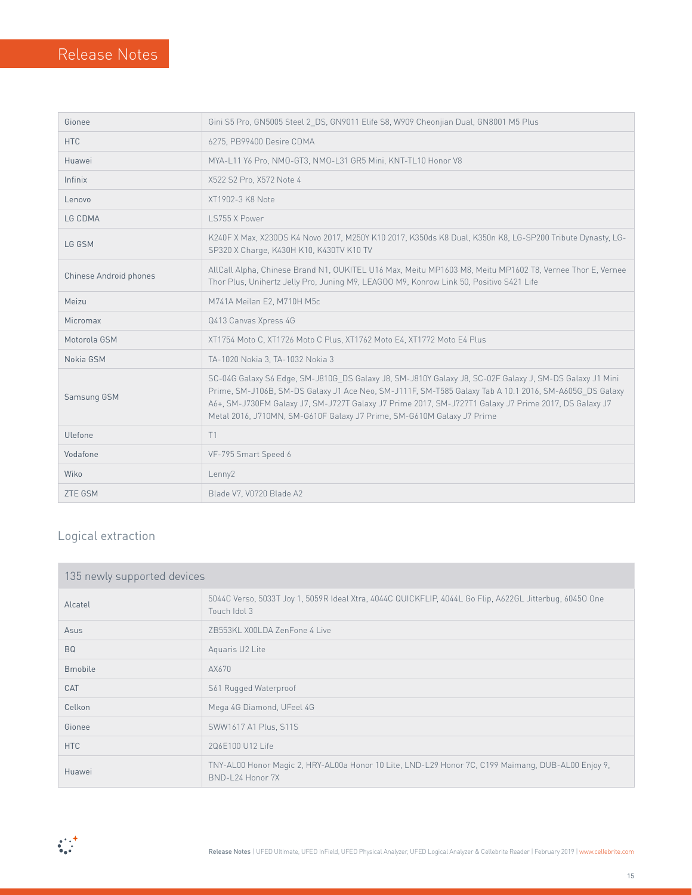| Gionee                        | Gini S5 Pro, GN5005 Steel 2 DS, GN9011 Elife S8, W909 Cheonjian Dual, GN8001 M5 Plus                                                                                                                                                                                                                                                                                                                 |  |  |
|-------------------------------|------------------------------------------------------------------------------------------------------------------------------------------------------------------------------------------------------------------------------------------------------------------------------------------------------------------------------------------------------------------------------------------------------|--|--|
| <b>HTC</b>                    | 6275, PB99400 Desire CDMA                                                                                                                                                                                                                                                                                                                                                                            |  |  |
| Huawei                        | MYA-L11 Y6 Pro, NMO-GT3, NMO-L31 GR5 Mini, KNT-TL10 Honor V8                                                                                                                                                                                                                                                                                                                                         |  |  |
| Infinix                       | X522 S2 Pro, X572 Note 4                                                                                                                                                                                                                                                                                                                                                                             |  |  |
| Lenovo                        | XT1902-3 K8 Note                                                                                                                                                                                                                                                                                                                                                                                     |  |  |
| LG CDMA                       | LS755 X Power                                                                                                                                                                                                                                                                                                                                                                                        |  |  |
| LG GSM                        | K240F X Max, X230DS K4 Novo 2017, M250Y K10 2017, K350ds K8 Dual, K350n K8, LG-SP200 Tribute Dynasty, LG-<br>SP320 X Charge, K430H K10, K430TV K10 TV                                                                                                                                                                                                                                                |  |  |
| <b>Chinese Android phones</b> | AllCall Alpha, Chinese Brand N1, OUKITEL U16 Max, Meitu MP1603 M8, Meitu MP1602 T8, Vernee Thor E, Vernee<br>Thor Plus, Unihertz Jelly Pro, Juning M9, LEAGOO M9, Konrow Link 50, Positivo S421 Life                                                                                                                                                                                                 |  |  |
| Meizu                         | M741A Meilan E2, M710H M5c                                                                                                                                                                                                                                                                                                                                                                           |  |  |
| Micromax                      | Q413 Canvas Xpress 4G                                                                                                                                                                                                                                                                                                                                                                                |  |  |
| Motorola GSM                  | XT1754 Moto C, XT1726 Moto C Plus, XT1762 Moto E4, XT1772 Moto E4 Plus                                                                                                                                                                                                                                                                                                                               |  |  |
| Nokia GSM                     | TA-1020 Nokia 3, TA-1032 Nokia 3                                                                                                                                                                                                                                                                                                                                                                     |  |  |
| Samsung GSM                   | SC-04G Galaxy S6 Edge, SM-J810G DS Galaxy J8, SM-J810Y Galaxy J8, SC-02F Galaxy J, SM-DS Galaxy J1 Mini<br>Prime, SM-J106B, SM-DS Galaxy J1 Ace Neo, SM-J111F, SM-T585 Galaxy Tab A 10.1 2016, SM-A605G DS Galaxy<br>A6+, SM-J730FM Galaxy J7, SM-J727T Galaxy J7 Prime 2017, SM-J727T1 Galaxy J7 Prime 2017, DS Galaxy J7<br>Metal 2016, J710MN, SM-G610F Galaxy J7 Prime, SM-G610M Galaxy J7 Prime |  |  |
| Ulefone                       | T1                                                                                                                                                                                                                                                                                                                                                                                                   |  |  |
| Vodafone                      | VF-795 Smart Speed 6                                                                                                                                                                                                                                                                                                                                                                                 |  |  |
| Wiko                          | Lenny2                                                                                                                                                                                                                                                                                                                                                                                               |  |  |
| <b>ZTE GSM</b>                | Blade V7, V0720 Blade A2                                                                                                                                                                                                                                                                                                                                                                             |  |  |

### Logical extraction

| 135 newly supported devices |                                                                                                                         |  |  |
|-----------------------------|-------------------------------------------------------------------------------------------------------------------------|--|--|
| Alcatel                     | 5044C Verso, 5033T Joy 1, 5059R Ideal Xtra, 4044C QUICKFLIP, 4044L Go Flip, A622GL Jitterbug, 60450 One<br>Touch Idol 3 |  |  |
| Asus                        | 7B553KL X00LDA ZenFone 4 Live                                                                                           |  |  |
| <b>BQ</b>                   | Aquaris U2 Lite                                                                                                         |  |  |
| <b>Bmobile</b>              | AX670                                                                                                                   |  |  |
| CAT                         | S61 Rugged Waterproof                                                                                                   |  |  |
| Celkon                      | Mega 4G Diamond, UFeel 4G                                                                                               |  |  |
| Gionee                      | SWW1617 A1 Plus, S11S                                                                                                   |  |  |
| HTC                         | 206E100 U12 Life                                                                                                        |  |  |
| Huawei                      | TNY-AL00 Honor Magic 2, HRY-AL00a Honor 10 Lite, LND-L29 Honor 7C, C199 Maimang, DUB-AL00 Enjoy 9,<br>BND-L24 Honor 7X  |  |  |

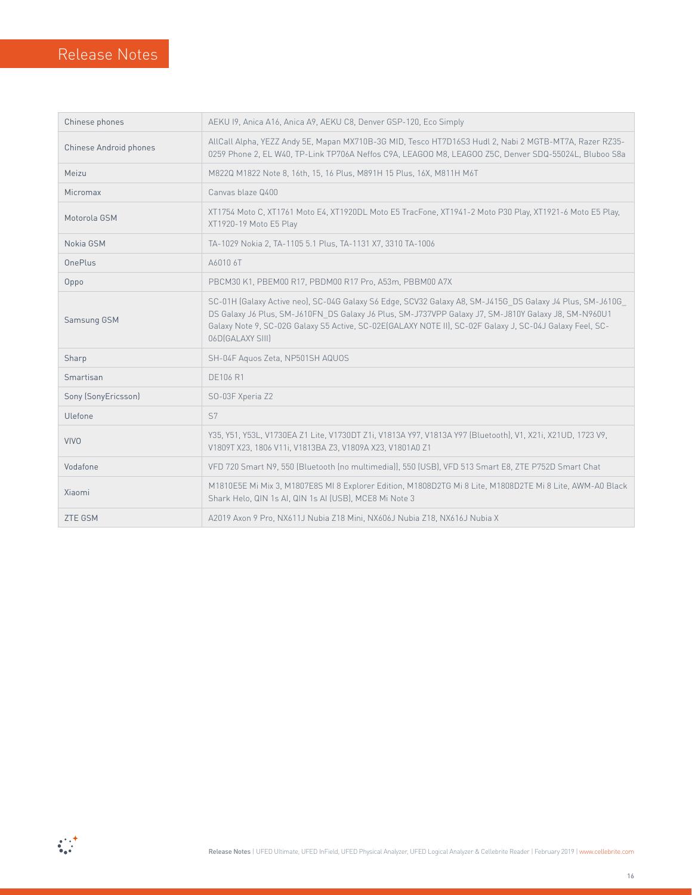| Chinese phones         | AEKU I9, Anica A16, Anica A9, AEKU C8, Denver GSP-120, Eco Simply                                                                                                                                                                                                                                                                                |  |
|------------------------|--------------------------------------------------------------------------------------------------------------------------------------------------------------------------------------------------------------------------------------------------------------------------------------------------------------------------------------------------|--|
| Chinese Android phones | AllCall Alpha, YEZZ Andy 5E, Mapan MX710B-3G MID, Tesco HT7D16S3 Hudl 2, Nabi 2 MGTB-MT7A, Razer RZ35-<br>0259 Phone 2, EL W40, TP-Link TP706A Neffos C9A, LEAGOO M8, LEAGOO Z5C, Denver SDQ-55024L, Bluboo S8a                                                                                                                                  |  |
| Meizu                  | M822Q M1822 Note 8, 16th, 15, 16 Plus, M891H 15 Plus, 16X, M811H M6T                                                                                                                                                                                                                                                                             |  |
| Micromax               | Canvas blaze Q400                                                                                                                                                                                                                                                                                                                                |  |
| Motorola GSM           | XT1754 Moto C, XT1761 Moto E4, XT1920DL Moto E5 TracFone, XT1941-2 Moto P30 Play, XT1921-6 Moto E5 Play,<br>XT1920-19 Moto E5 Play                                                                                                                                                                                                               |  |
| Nokia GSM              | TA-1029 Nokia 2, TA-1105 5.1 Plus, TA-1131 X7, 3310 TA-1006                                                                                                                                                                                                                                                                                      |  |
| OnePlus                | A6010 6T                                                                                                                                                                                                                                                                                                                                         |  |
| Oppo                   | PBCM30 K1, PBEM00 R17, PBDM00 R17 Pro, A53m, PBBM00 A7X                                                                                                                                                                                                                                                                                          |  |
| Samsung GSM            | SC-01H (Galaxy Active neo), SC-04G Galaxy S6 Edge, SCV32 Galaxy A8, SM-J415G DS Galaxy J4 Plus, SM-J610G<br>DS Galaxy J6 Plus, SM-J610FN_DS Galaxy J6 Plus, SM-J737VPP Galaxy J7, SM-J810Y Galaxy J8, SM-N960U1<br>Galaxy Note 9, SC-02G Galaxy S5 Active, SC-02E(GALAXY NOTE II), SC-02F Galaxy J, SC-04J Galaxy Feel, SC-<br>06D [GALAXY SIII] |  |
| Sharp                  | SH-04F Aguos Zeta, NP501SH AQUOS                                                                                                                                                                                                                                                                                                                 |  |
| Smartisan              | <b>DE106 R1</b>                                                                                                                                                                                                                                                                                                                                  |  |
| Sony (SonyEricsson)    | SO-03F Xperia Z2                                                                                                                                                                                                                                                                                                                                 |  |
| Ulefone                | S7                                                                                                                                                                                                                                                                                                                                               |  |
| <b>VIVO</b>            | Y35, Y51, Y53L, V1730EA Z1 Lite, V1730DT Z1i, V1813A Y97, V1813A Y97 (Bluetooth), V1, X21i, X21UD, 1723 V9,<br>V1809T X23, 1806 V11i, V1813BA Z3, V1809A X23, V1801A0 Z1                                                                                                                                                                         |  |
| Vodafone               | VFD 720 Smart N9, 550 (Bluetooth (no multimedia)), 550 (USB), VFD 513 Smart E8, ZTE P752D Smart Chat                                                                                                                                                                                                                                             |  |
| Xiaomi                 | M1810E5E Mi Mix 3, M1807E8S MI 8 Explorer Edition, M1808D2TG Mi 8 Lite, M1808D2TE Mi 8 Lite, AWM-A0 Black<br>Shark Helo, QIN 1s AI, QIN 1s AI (USB), MCE8 Mi Note 3                                                                                                                                                                              |  |
| <b>ZTE GSM</b>         | A2019 Axon 9 Pro, NX611J Nubia Z18 Mini, NX606J Nubia Z18, NX616J Nubia X                                                                                                                                                                                                                                                                        |  |